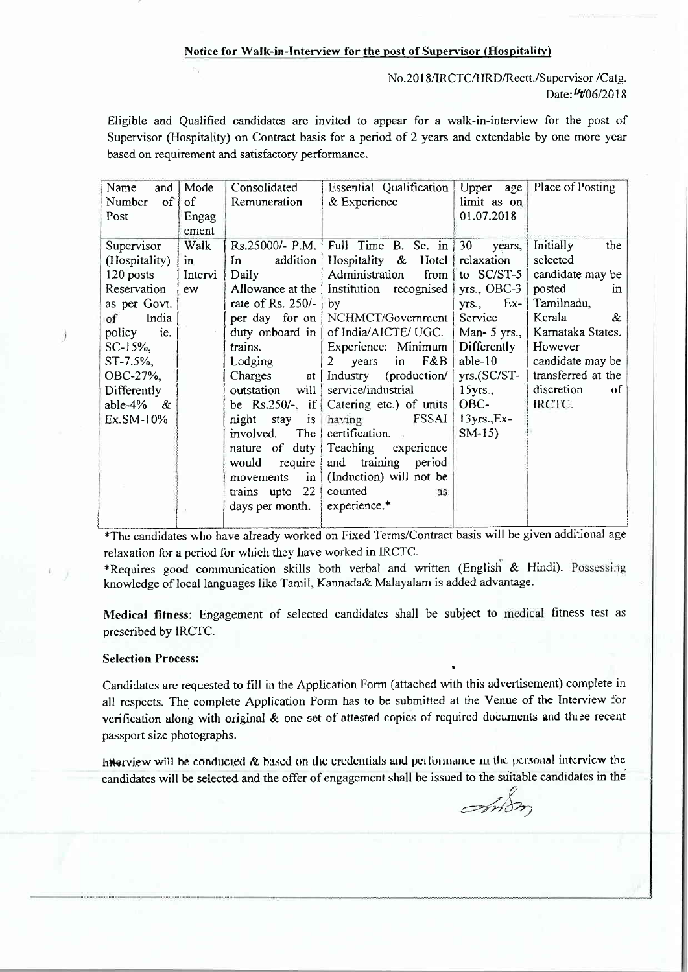No.2018/IRCTC/HRD/Rectt./Supervisor /Catg. Date:  $14/06/2018$ 

Eligible and Qualified candidates are invited to appear for a walk-in-interview for the post of Supervisor (Hospitality) on Contract basis for a period of 2 years and extendable by one more year based on requirement and satisfactory performance.

| Name<br>and                                                                                        | Mode          | Consolidated                            | Essential Qualification                           | Upper<br>age   | Place of Posting       |  |  |
|----------------------------------------------------------------------------------------------------|---------------|-----------------------------------------|---------------------------------------------------|----------------|------------------------|--|--|
| of<br>Number                                                                                       | <sub>of</sub> | Remuneration                            | & Experience                                      | limit as on    |                        |  |  |
| Post                                                                                               | Engag         |                                         |                                                   | 01.07.2018     |                        |  |  |
|                                                                                                    | ement         |                                         |                                                   |                |                        |  |  |
| Supervisor                                                                                         | Walk          | $Rs.25000/- P.M.$                       | Full Time B. Sc. in                               | 30<br>years,   | Initially<br>the       |  |  |
| (Hospitality)                                                                                      | in            | addition<br>In.                         | Hospitality & Hotel                               | relaxation     | selected               |  |  |
| 120 posts                                                                                          | Intervi       | Daily                                   | Administration<br>from                            | to SC/ST-5     | candidate may be       |  |  |
| Reservation                                                                                        | ew            |                                         | Allowance at the Institution recognised           | $yrs.$ , OBC-3 | posted<br>$\mathbf{m}$ |  |  |
| as per Govt.                                                                                       |               | rate of Rs. 250/-                       | $\mathbf{b}$                                      | Ex-<br>yrs.,   | Tamilnadu,             |  |  |
| India<br>of                                                                                        |               |                                         | per day for on NCHMCT/Government                  | Service        | Kerala<br>&            |  |  |
| policy<br>ie.                                                                                      |               |                                         | duty onboard in of India/AICTE/ UGC.              | Man- $5$ yrs., | Karnataka States.      |  |  |
| SC-15%,                                                                                            |               | trains.                                 | Experience: Minimum                               | Differently    | However                |  |  |
| ST-7.5%,                                                                                           |               | Lodging                                 | F&B<br>in.<br>2<br>years                          | able- $10$     | candidate may be       |  |  |
| OBC-27%,                                                                                           |               | Charges                                 | at Industry (production/                          | $yrs.(SC/ST-$  | transferred at the     |  |  |
| Differently                                                                                        |               | will<br>outstation                      | service/industrial                                | $15$ yrs.,     | discretion<br>of       |  |  |
| able-4% $\&$                                                                                       |               |                                         | be $\text{Rs.}250/-$ , if Catering etc.) of units | OBC-           | IRCTC.                 |  |  |
| Ex.SM-10%                                                                                          |               | is<br>night<br>stay                     | FSSAI<br>having                                   | $13yrs., Ex-$  |                        |  |  |
|                                                                                                    |               | $The \sqrt{ }$<br>involved.             | certification.                                    | $SM-15$        |                        |  |  |
|                                                                                                    |               |                                         | nature of duty Teaching experience                |                |                        |  |  |
|                                                                                                    |               | require<br>would                        | and training<br>period                            |                |                        |  |  |
|                                                                                                    |               | $\left  \text{in} \right $<br>movements | (Induction) will not be                           |                |                        |  |  |
|                                                                                                    |               | trains upto $22$                        | counted<br>as                                     |                |                        |  |  |
|                                                                                                    |               | days per month.                         | experience.*                                      |                |                        |  |  |
|                                                                                                    |               |                                         |                                                   |                |                        |  |  |
| *The candidates who have already worked on Eixed Terms/Contract basis will be given additional age |               |                                         |                                                   |                |                        |  |  |

The who ha ditio<br>--\*The candidates who have already worked on Fixed Terms/Contract basis will be given additional age relaxation for a period for which they have worked in IRCTC.

\*Requires good communication skills both verbal and written (English & Hindi). Possessing knowledge of local languages like Tamil, Kannada& Malayalam is added advantage.

Medical fitness: Engagement of selected candidates shall be subject to medical fitness test as prescribed by IRCTC.

#### Selection Process:

Candidates are requested to fill in the Application Fomr (attached w'ith this advertisement) complete in all respects. The complete Application Form has to be submitted at the Venue of the Interview for vcrification along with original & one set of attested copies of required documents and three recent passport size photographs.

litterview will he conducted  $\&$  hased on the credentials and performance in the personal interview the candidates will be selected and the offer of engagement shall be issued to the suitable candidates in the

 $\rightarrow$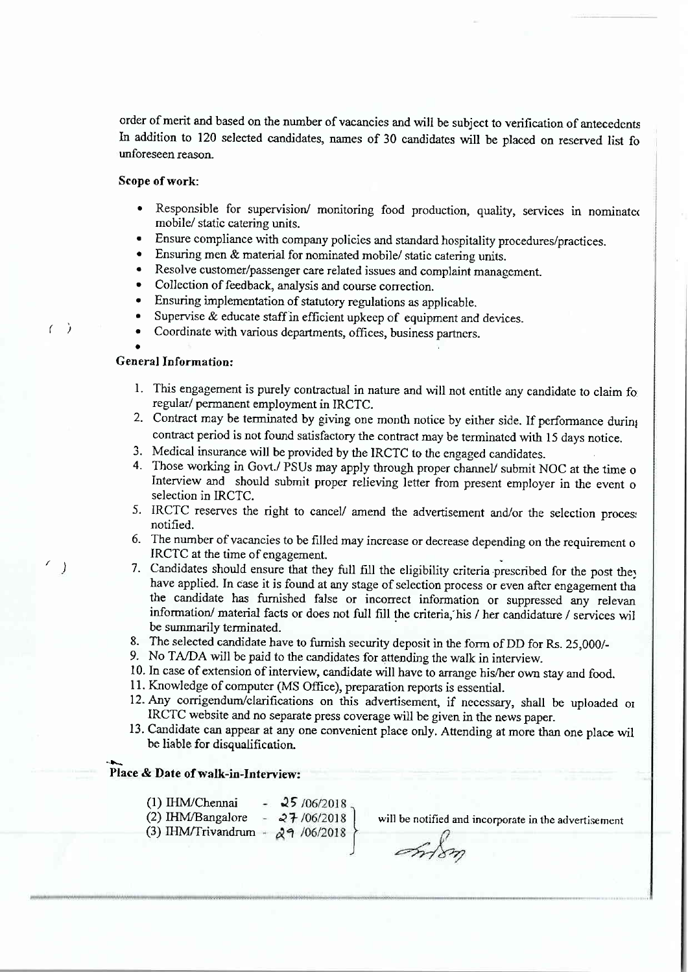order of merit and based on the number of vacancies and will be subject to verification of antecedents In addition to 720 selected candidates, names of 30 candidates will be placed on reserved list fo unforeseen reason.

### Scope of work:

- . Responsible for supervision/ monitoring food production, quality, services in nominate< mobile/ static catering units.
- . Enstue compliance with company policies and standard hospitality procedures/practices.
- o Ensuring men & material for nominated mobile/ static catering units.
- . Resolve customer/passenger care related issues and complaint managcment.
- Collection of feedback, analysis and course correction.
- . Ensuring implementation of statutory regulations as applicable.
- Supervise  $\&$  educate staff in efficient upkeep of equipment and devices.
- Coordinate with various departments, offices, business partners.

#### General fnformation:

a

 $($ )

,)

- l. This engagement is purely contractual in nature and will not entitle any candidate to claim fo regular/ perrnanent employment in IRCTC.
- 2. Contract may be terminated by giving one month notice by either side. If performance during contract period is not found satisfactory the contract may be terminated with 15 days notice.
- 3. Medical inswance will be provided by the IRCTC to thc engaged candidates.
- 4- Those working in Govt./ PSUs may apply through proper channeV submit NOC at the time <sup>o</sup> Interview and should submit proper relieving letter from present employer in the event <sup>o</sup> selection in IRCTC.
- 5. IRCTC reserves the right to cancel/ amend the advertisement and/or the selection proces: notified.
- 6. The number of vacancies to be filled may increase or decrease depending on the requirement <sup>o</sup> IRCTC at the time of engagement.
- 7. Candidates should ensure that they full fill the eligibility criteria prescribed for the post they have applied. In case it is found at any stage of selection process or even after engagement tha the candidate has furnished false or incorrect information or suppressed any relevan information/ material facts or does not full fill the criteria, his / her candidature / services wil be summarily terminated.
- 8. The selected candidate have to furnish security deposit in the form of DD for Rs. 25,000/-
- 9. No TA/DA will be paid to the candidates for attending the walk in interview.
- 10. In case of extension of interview, candidate will have to arrange his/her own stay and food.
- <sup>I</sup>l. Knowledge of computer (MS office), preparation reports is essential.
- 12. Any corrigendum/clarifications on this advertisement, if necessary, shall be uploaded or IRCTC website and no separate press coverage will be given in the news paper.
- 13. Candidate can appear at any one convenient place only. Attending at more than one place wil be liable for disqualification.

# Place & Date of walk-in-Interview:

(l) IHIWChennai 25/06/2018 (2) IHM/Bargalore  $27/06/2018$ (3) IHM/Trivandrum -  $29/06/2018$ 

will be notified and incorporate in the advertisement

 $\mathscr{D}_n$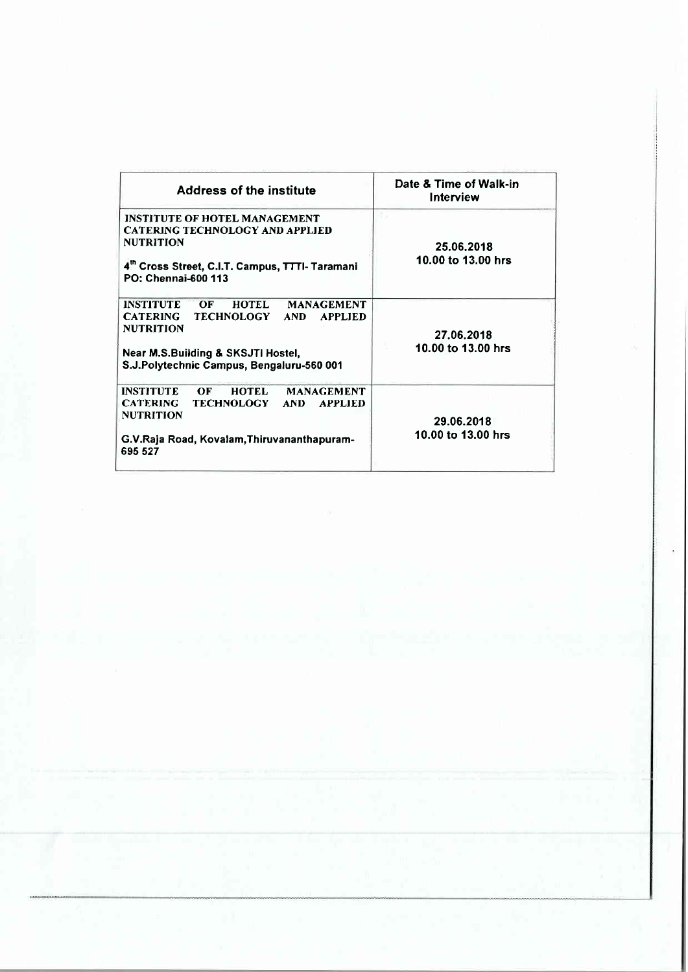| Address of the institute                                                                                                                                                                                                  | Date & Time of Walk-in<br>Interview<br>25.06.2018<br>10.00 to 13.00 hrs |  |
|---------------------------------------------------------------------------------------------------------------------------------------------------------------------------------------------------------------------------|-------------------------------------------------------------------------|--|
| <b>INSTITUTE OF HOTEL MANAGEMENT</b><br><b>CATERING TECHNOLOGY AND APPLIED</b><br><b>NUTRITION</b><br>4 <sup>th</sup> Cross Street, C.I.T. Campus, TTTI- Taramani<br><b>PO: Chennai-600 113</b>                           |                                                                         |  |
| <b>INSTITUTE</b><br>OF<br><b>HOTEL</b><br><b>MANAGEMENT</b><br><b>CATERING</b><br>TECHNOLOGY AND<br><b>APPLIED</b><br><b>NUTRITION</b><br>Near M.S.Building & SKSJTI Hostel,<br>S.J.Polytechnic Campus, Bengaluru-560 001 | 27.06.2018<br>10.00 to 13.00 hrs                                        |  |
| <b>INSTITUTE</b><br>OF<br>HOTEL<br><b>MANAGEMENT</b><br>CATERING TECHNOLOGY<br>AND<br><b>APPLIED</b><br><b>NUTRITION</b><br>G.V.Raja Road, Kovalam, Thiruvananthapuram-<br>695 527                                        | 29.06.2018<br>10.00 to 13.00 hrs                                        |  |